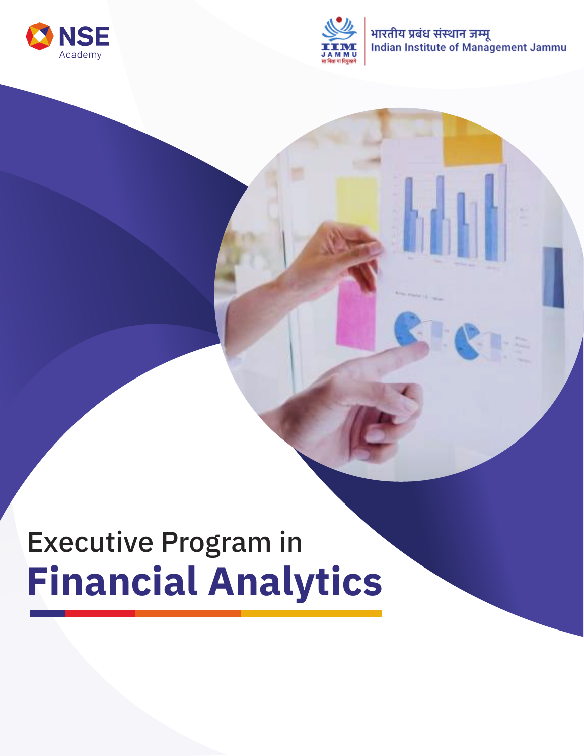



भारतीय प्रबंध संस्थान जम्मू Indian Institute of Management Jammu

# Executive Program in **Financial Analytics**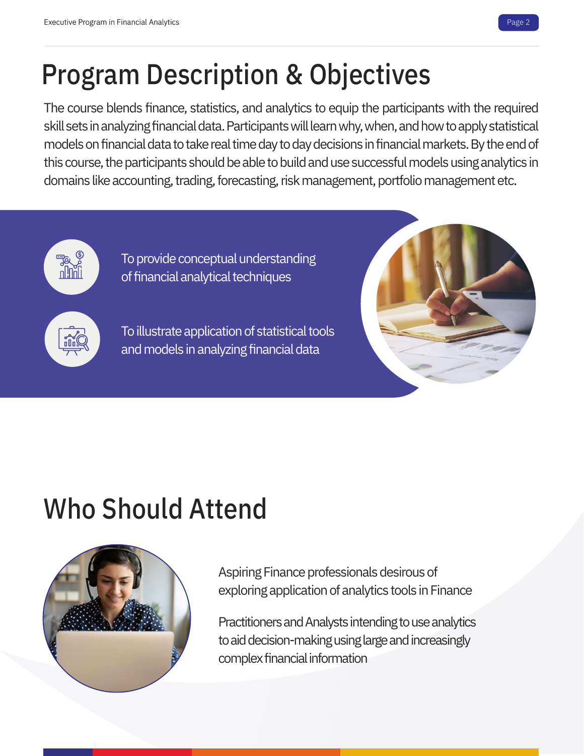# Program Description & Objectives

The course blends finance, statistics, and analytics to equip the participants with the required skill sets in analyzing financial data. Participants will learn why, when, and how to apply statistical models on financial data to take real time day to day decisions in financial markets. By the end of this course, the participants should be able to build and use successful models using analytics in domains like accounting, trading, forecasting, risk management, portfolio management etc.



To provide conceptual understanding of financial analytical techniques

To illustrate application of statistical tools and models in analyzing financial data



# Who Should Attend



Aspiring Finance professionals desirous of exploring application of analytics tools in Finance

Practitioners and Analysts intending to use analytics to aid decision-making using large and increasingly complex financial information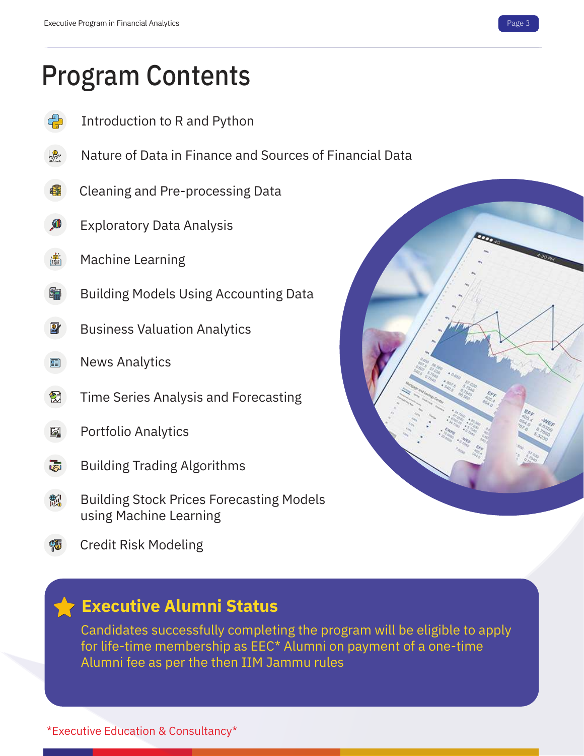### Program Contents

- Introduction to R and Python
- Nature of Data in Finance and Sources of Financial Data
- Cleaning and Pre-processing Data 峰
- Exploratory Data Analysis
- Machine Learning
- Building Models Using Accounting Data
- Business Valuation Analytics
- News Analytics 團
- Time Series Analysis and Forecasting 줫
- Portfolio Analytics la.
- Building Trading Algorithms rā.
- Building Stock Prices Forecasting Models 魗 using Machine Learning
- Credit Risk Modeling

#### **Executive Alumni Status**

Candidates successfully completing the program will be eligible to apply for life-time membership as EEC\* Alumni on payment of a one-time Alumni fee as per the then IIM Jammu rules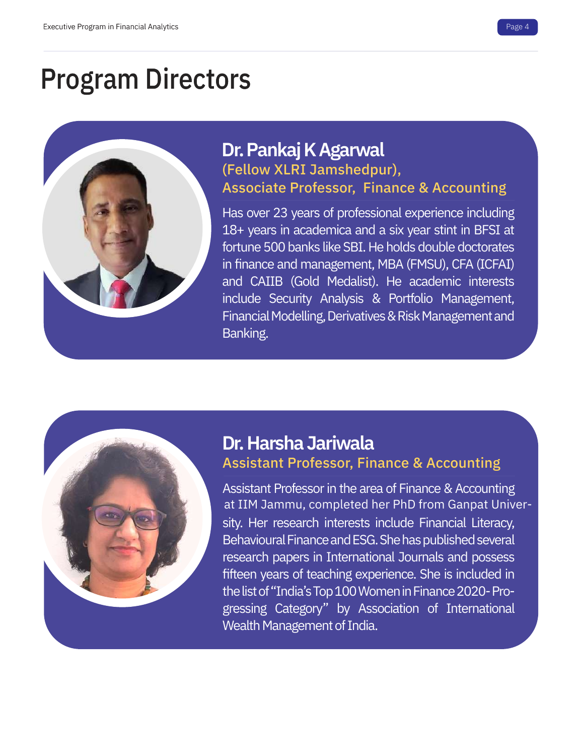### Program Directors



#### **Dr. Pankaj K Agarwal**  (Fellow XLRI Jamshedpur), Associate Professor, Finance & Accounting

Has over 23 years of professional experience including 18+ years in academica and a six year stint in BFSI at fortune 500 banks like SBI. He holds double doctorates in finance and management, MBA (FMSU), CFA (ICFAI) and CAIIB (Gold Medalist). He academic interests include Security Analysis & Portfolio Management, Financial Modelling, Derivatives & Risk Management and Banking.



#### **Dr. Harsha Jariwala** Assistant Professor, Finance & Accounting

Assistant Professor in the area of Finance & Accounting sity. Her research interests include Financial Literacy, Behavioural Finance and ESG. She has published several research papers in International Journals and possess fifteen years of teaching experience. She is included in the list of "India's Top 100 Women in Finance 2020- Progressing Category" by Association of International Wealth Management of India. at IIM Jammu, completed her PhD from Ganpat Univer-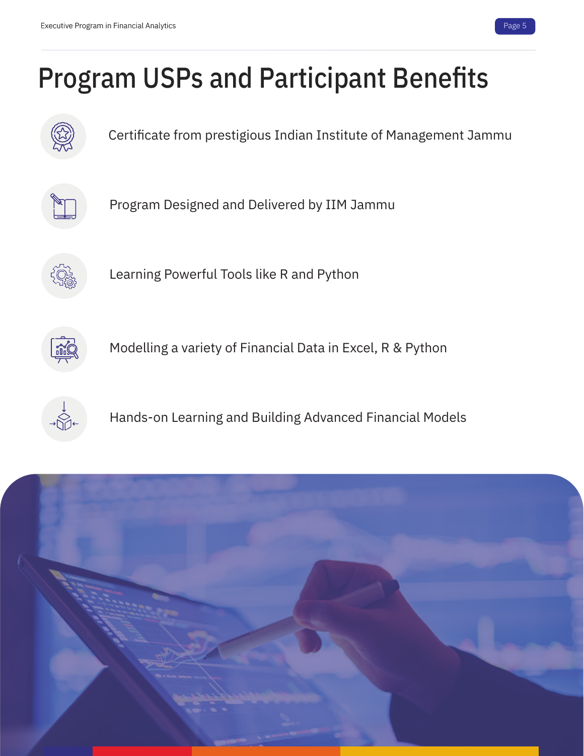

# Program USPs and Participant Benefits



Certificate from prestigious Indian Institute of Management Jammu



Program Designed and Delivered by IIM Jammu



Learning Powerful Tools like R and Python



Modelling a variety of Financial Data in Excel, R & Python



Hands-on Learning and Building Advanced Financial Models

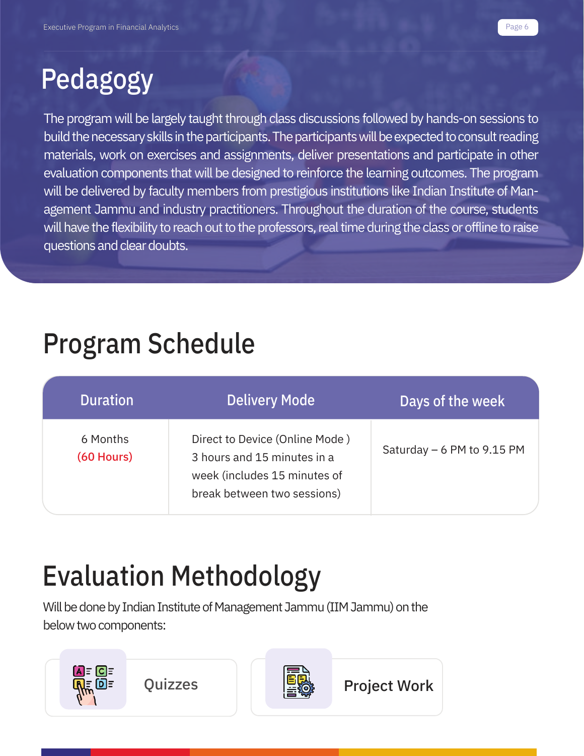# Pedagogy

The program will be largely taught through class discussions followed by hands-on sessions to build the necessary skills in the participants. The participants will be expected to consult reading materials, work on exercises and assignments, deliver presentations and participate in other evaluation components that will be designed to reinforce the learning outcomes. The program will be delivered by faculty members from prestigious institutions like Indian Institute of Management Jammu and industry practitioners. Throughout the duration of the course, students will have the flexibility to reach out to the professors, real time during the class or offline to raise questions and clear doubts.

### Program Schedule

| <b>Duration</b>          | <b>Delivery Mode</b>                                                                                                         | Days of the week            |
|--------------------------|------------------------------------------------------------------------------------------------------------------------------|-----------------------------|
| 6 Months<br>$(60$ Hours) | Direct to Device (Online Mode)<br>3 hours and 15 minutes in a<br>week (includes 15 minutes of<br>break between two sessions) | Saturday $-6$ PM to 9.15 PM |

# Evaluation Methodology

Will be done by Indian Institute of Management Jammu (IIM Jammu) on the below two components:

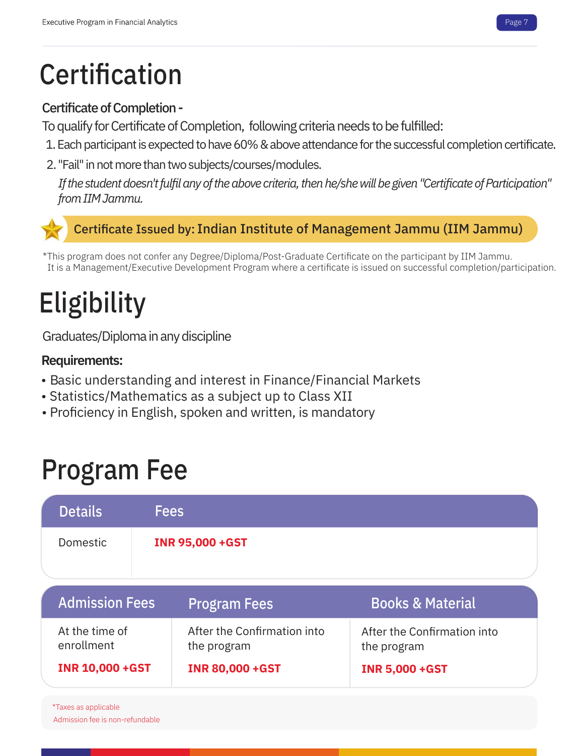### **Certification**

#### Certificate of Completion -

To qualify for Certificate of Completion, following criteria needs to be fulfilled:

- 1. Each participant is expected to have 60% & above attendance for the successful completion certificate.
- 2. "Fail" in not more than two subjects/courses/modules.

*If the student doesn't fulfil any of the above criteria, then he/she will be given "Certificate of Participation" from IIM Jammu.*

#### Certificate Issued by: Indian Institute of Management Jammu (IIM Jammu)

\*This program does not confer any Degree/Diploma/Post-Graduate Certificate on the participant by IIM Jammu. It is a Management/Executive Development Program where a certificate is issued on successful completion/participation.

# **Eligibility**

Graduates/Diploma in any discipline

#### **Requirements:**

- Basic understanding and interest in Finance/Financial Markets
- Statistics/Mathematics as a subject up to Class XII
- Proficiency in English, spoken and written, is mandatory

### Program Fee

| <b>Details</b> | <b>Fees</b>             |  |
|----------------|-------------------------|--|
| Domestic       | <b>INR 95,000 + GST</b> |  |

| <b>Admission Fees</b>        | <b>Program Fees</b>                        | <b>Books &amp; Material</b>                |
|------------------------------|--------------------------------------------|--------------------------------------------|
| At the time of<br>enrollment | After the Confirmation into<br>the program | After the Confirmation into<br>the program |
| <b>INR 10,000 + GST</b>      | <b>INR 80,000 +GST</b>                     | <b>INR 5,000 + GST</b>                     |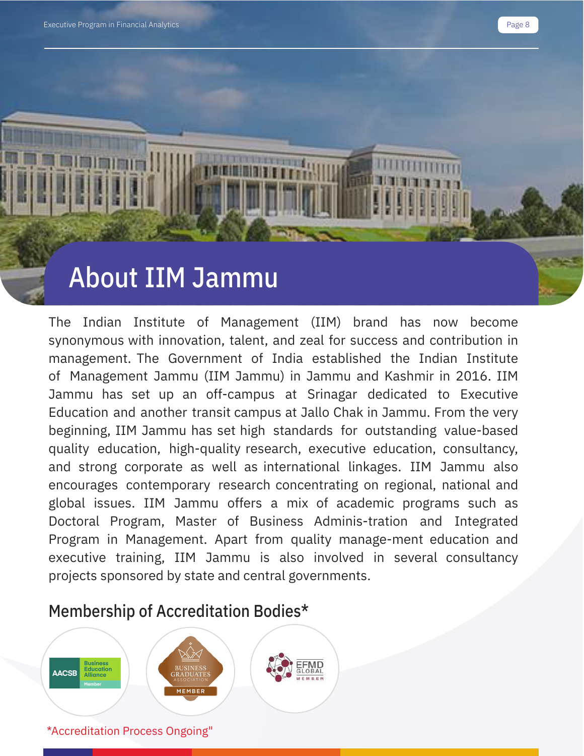### About IIM Jammu

The Indian Institute of Management (IIM) brand has now become synonymous with innovation, talent, and zeal for success and contribution in management. The Government of India established the Indian Institute of Management Jammu (IIM Jammu) in Jammu and Kashmir in 2016. IIM Jammu has set up an off-campus at Srinagar dedicated to Executive Education and another transit campus at Jallo Chak in Jammu. From the very beginning, IIM Jammu has set high standards for outstanding value-based quality education, high-quality research, executive education, consultancy, and strong corporate as well as international linkages. IIM Jammu also encourages contemporary research concentrating on regional, national and global issues. IIM Jammu offers a mix of academic programs such as Doctoral Program, Master of Business Adminis-tration and Integrated Program in Management. Apart from quality manage-ment education and executive training, IIM Jammu is also involved in several consultancy projects sponsored by state and central governments.

#### Membership of Accreditation Bodies\*

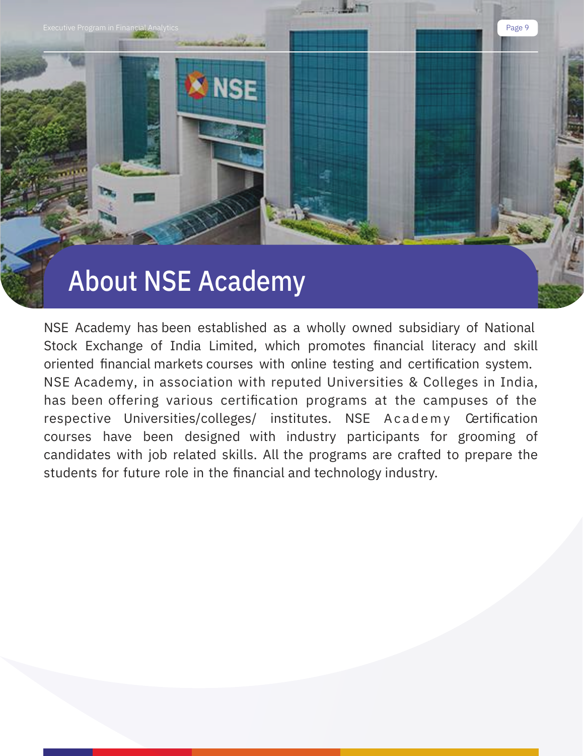

NSE Academy has been established as a wholly owned subsidiary of National Stock Exchange of India Limited, which promotes financial literacy and skill oriented financial markets courses with online testing and certification system. NSE Academy, in association with reputed Universities & Colleges in India, has been offering various certification programs at the campuses of the respective Universities/colleges/ institutes. NSE Academy Certification courses have been designed with industry participants for grooming of candidates with job related skills. All the programs are crafted to prepare the students for future role in the financial and technology industry.